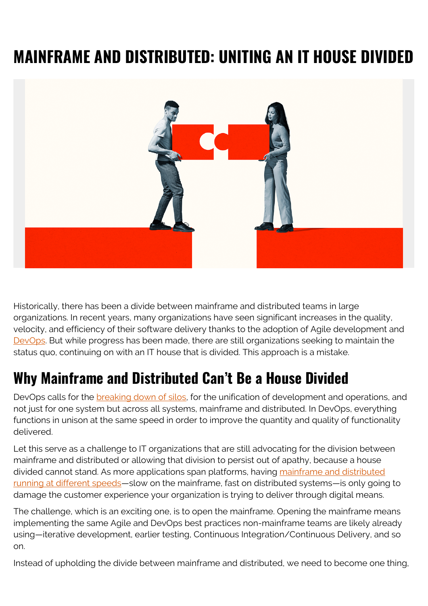## **MAINFRAME AND DISTRIBUTED: UNITING AN IT HOUSE DIVIDED**



Historically, there has been a divide between mainframe and distributed teams in large organizations. In recent years, many organizations have seen significant increases in the quality, velocity, and efficiency of their software delivery thanks to the adoption of Agile development and [DevOps](https://blogs.bmc.com/blogs/mainframe-devops-unified-strategy/). But while progress has been made, there are still organizations seeking to maintain the status quo, continuing on with an IT house that is divided. This approach is a mistake.

## **Why Mainframe and Distributed Can't Be a House Divided**

DevOps calls for the [breaking down of silos](https://blogs.bmc.com/blogs/dont-break-down-silos-bring-them-together/), for the unification of development and operations, and not just for one system but across all systems, mainframe and distributed. In DevOps, everything functions in unison at the same speed in order to improve the quantity and quality of functionality delivered.

Let this serve as a challenge to IT organizations that are still advocating for the division between mainframe and distributed or allowing that division to persist out of apathy, because a house divided cannot stand. As more applications span platforms, having [mainframe and distributed](https://blogs.bmc.com/blogs/mainframe-management-transformed/) [running at different speeds—](https://blogs.bmc.com/blogs/mainframe-management-transformed/)slow on the mainframe, fast on distributed systems—is only going to damage the customer experience your organization is trying to deliver through digital means.

The challenge, which is an exciting one, is to open the mainframe. Opening the mainframe means implementing the same Agile and DevOps best practices non-mainframe teams are likely already using—iterative development, earlier testing, Continuous Integration/Continuous Delivery, and so on.

Instead of upholding the divide between mainframe and distributed, we need to become one thing,